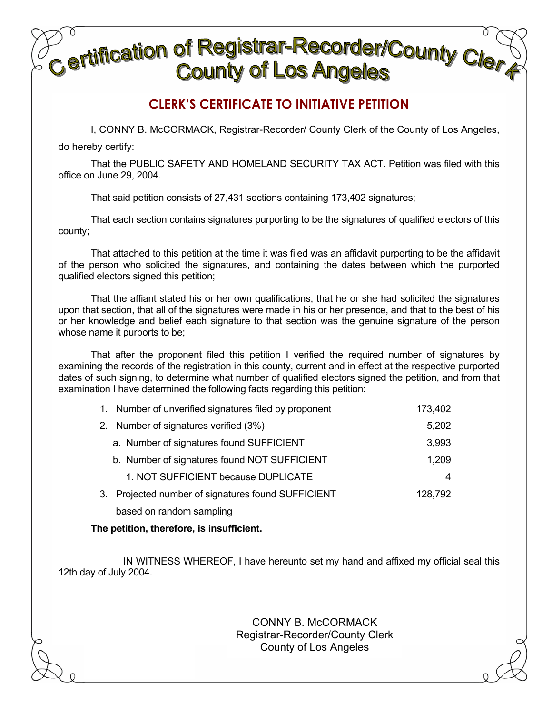## **Certification of Registrar-Recorder/County Clercy**<br>Certification County of Los Angeles **County of Los Angeles**

## **CLERK'S CERTIFICATE TO INITIATIVE PETITION**

I, CONNY B. McCORMACK, Registrar-Recorder/ County Clerk of the County of Los Angeles,

do hereby certify:

That the PUBLIC SAFETY AND HOMELAND SECURITY TAX ACT. Petition was filed with this office on June 29, 2004.

That said petition consists of 27,431 sections containing 173,402 signatures;

That each section contains signatures purporting to be the signatures of qualified electors of this county;

That attached to this petition at the time it was filed was an affidavit purporting to be the affidavit of the person who solicited the signatures, and containing the dates between which the purported qualified electors signed this petition;

That the affiant stated his or her own qualifications, that he or she had solicited the signatures upon that section, that all of the signatures were made in his or her presence, and that to the best of his or her knowledge and belief each signature to that section was the genuine signature of the person whose name it purports to be;

That after the proponent filed this petition I verified the required number of signatures by examining the records of the registration in this county, current and in effect at the respective purported dates of such signing, to determine what number of qualified electors signed the petition, and from that examination I have determined the following facts regarding this petition:

|    | 1. Number of unverified signatures filed by proponent | 173,402 |
|----|-------------------------------------------------------|---------|
|    | 2. Number of signatures verified (3%)                 | 5,202   |
|    | a. Number of signatures found SUFFICIENT              | 3,993   |
|    | b. Number of signatures found NOT SUFFICIENT          | 1,209   |
|    | 1. NOT SUFFICIENT because DUPLICATE                   | 4       |
| 3. | Projected number of signatures found SUFFICIENT       | 128,792 |
|    | based on random sampling                              |         |

**The petition, therefore, is insufficient.**

IN WITNESS WHEREOF, I have hereunto set my hand and affixed my official seal this 12th day of July 2004.

> CONNY B. McCORMACK Registrar-Recorder/County Clerk County of Los Angeles